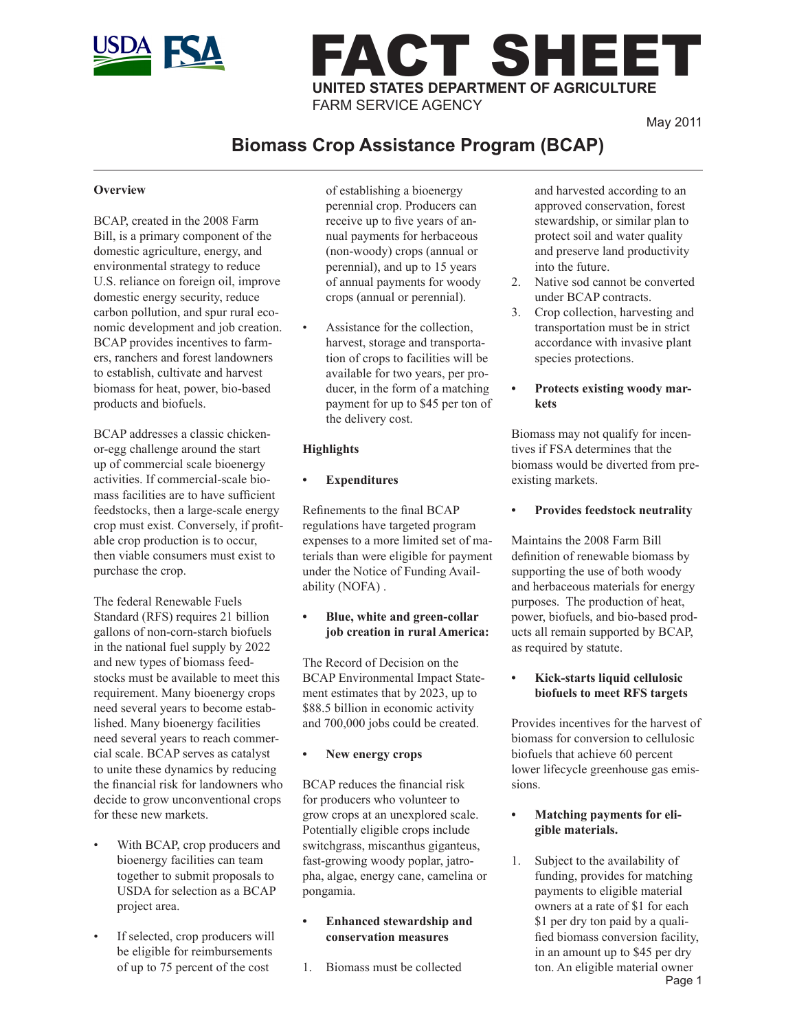

# FACT SHEET **UNITED STATES DEPARTMENT OF AGRICULTURE** FARM SERVICE AGENCY

May 2011

# **Biomass Crop Assistance Program (BCAP)**

# **Overview**

BCAP, created in the 2008 Farm Bill, is a primary component of the domestic agriculture, energy, and environmental strategy to reduce U.S. reliance on foreign oil, improve domestic energy security, reduce carbon pollution, and spur rural economic development and job creation. BCAP provides incentives to farmers, ranchers and forest landowners to establish, cultivate and harvest biomass for heat, power, bio-based products and biofuels.

BCAP addresses a classic chickenor-egg challenge around the start up of commercial scale bioenergy activities. If commercial-scale biomass facilities are to have sufficient feedstocks, then a large-scale energy crop must exist. Conversely, if profitable crop production is to occur, then viable consumers must exist to purchase the crop.

The federal Renewable Fuels Standard (RFS) requires 21 billion gallons of non-corn-starch biofuels in the national fuel supply by 2022 and new types of biomass feedstocks must be available to meet this requirement. Many bioenergy crops need several years to become established. Many bioenergy facilities need several years to reach commercial scale. BCAP serves as catalyst to unite these dynamics by reducing the financial risk for landowners who decide to grow unconventional crops for these new markets.

- With BCAP, crop producers and bioenergy facilities can team together to submit proposals to USDA for selection as a BCAP project area.
- If selected, crop producers will be eligible for reimbursements of up to 75 percent of the cost

of establishing a bioenergy perennial crop. Producers can receive up to five years of annual payments for herbaceous (non-woody) crops (annual or perennial), and up to 15 years of annual payments for woody crops (annual or perennial).

Assistance for the collection, harvest, storage and transportation of crops to facilities will be available for two years, per producer, in the form of a matching payment for up to \$45 per ton of the delivery cost.

# **Highlights**

# **Expenditures**

Refinements to the final BCAP regulations have targeted program expenses to a more limited set of materials than were eligible for payment under the Notice of Funding Availability (NOFA) .

#### **Blue, white and green-collar job creation in rural America:**

The Record of Decision on the BCAP Environmental Impact Statement estimates that by 2023, up to \$88.5 billion in economic activity and 700,000 jobs could be created.

#### **• New energy crops**

BCAP reduces the financial risk for producers who volunteer to grow crops at an unexplored scale. Potentially eligible crops include switchgrass, miscanthus giganteus, fast-growing woody poplar, jatropha, algae, energy cane, camelina or pongamia.

- **Enhanced stewardship and conservation measures**
- 1. Biomass must be collected

and harvested according to an approved conservation, forest stewardship, or similar plan to protect soil and water quality and preserve land productivity into the future.

- 2. Native sod cannot be converted under BCAP contracts.
- 3. Crop collection, harvesting and transportation must be in strict accordance with invasive plant species protections.
- **• Protects existing woody markets**

Biomass may not qualify for incentives if FSA determines that the biomass would be diverted from preexisting markets.

# **Provides feedstock neutrality**

Maintains the 2008 Farm Bill definition of renewable biomass by supporting the use of both woody and herbaceous materials for energy purposes. The production of heat, power, biofuels, and bio-based products all remain supported by BCAP, as required by statute.

#### **• Kick-starts liquid cellulosic biofuels to meet RFS targets**

Provides incentives for the harvest of biomass for conversion to cellulosic biofuels that achieve 60 percent lower lifecycle greenhouse gas emissions.

#### **Matching payments for eligible materials.**

Page 1 1. Subject to the availability of funding, provides for matching payments to eligible material owners at a rate of \$1 for each \$1 per dry ton paid by a qualified biomass conversion facility, in an amount up to \$45 per dry ton. An eligible material owner